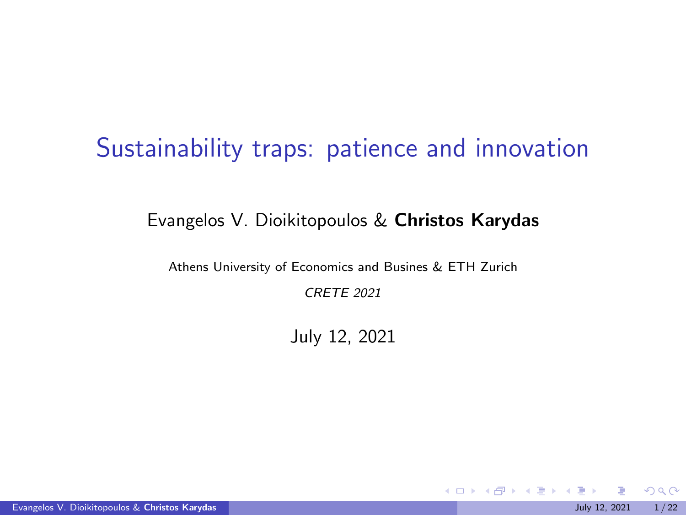### <span id="page-0-0"></span>Sustainability traps: patience and innovation

#### Evangelos V. Dioikitopoulos & Christos Karydas

Athens University of Economics and Busines & ETH Zurich

CRETE 2021

July 12, 2021

メロトメ 伊 トメ ミトメ ミト

 $298$ 

Evangelos V. Dioikitopoulos & Christos Karydas July 12, 2021 1/22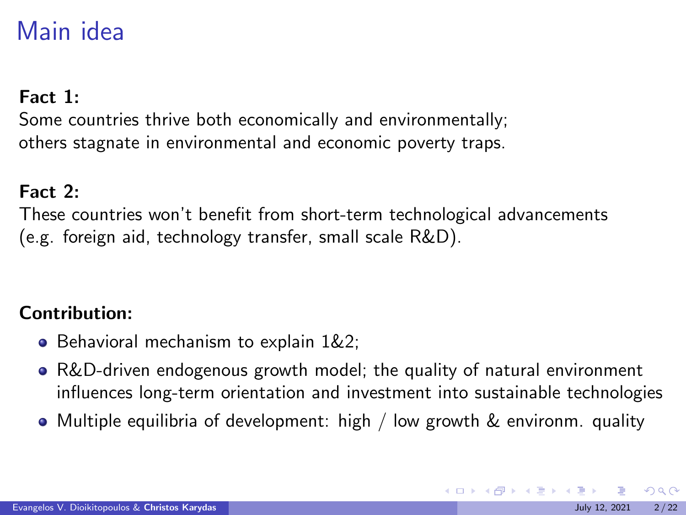# <span id="page-1-0"></span>Main idea

### Fact 1:

Some countries thrive both economically and environmentally; others stagnate in environmental and economic poverty traps.

### Fact 2:

These countries won't benefit from short-term technological advancements (e.g. foreign aid, technology transfer, small scale R&D).

### Contribution:

- **Behavioral mechanism to explain 1&2;**
- R&D-driven endogenous growth model; the quality of natural environment influences long-term orientation and investment into sustainable technologies
- Multiple equilibria of development: high / low growth & environm. quality

 $\Omega$ 

メロトメ 伊 トメ ミトメ ミト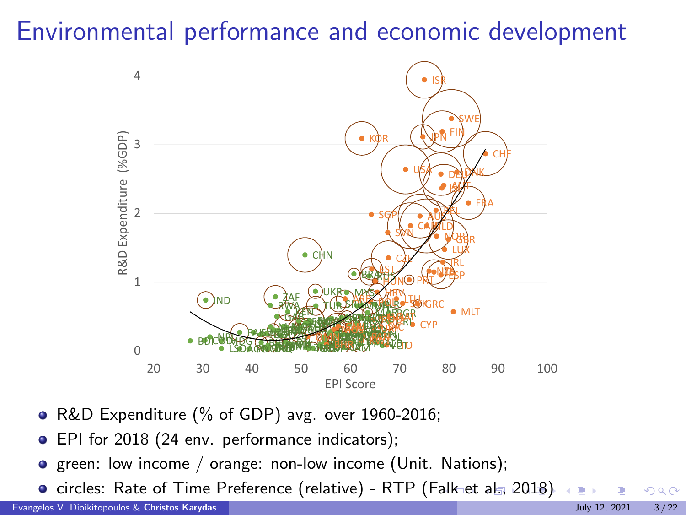# <span id="page-2-0"></span>Environmental performance and economic development



- R&D Expenditure (% of GDP) avg. over 1960-2016;
- **EPI** for 2018 (24 env. performance indicators);
- **•** green: low income / orange: non-low income (Unit. Nations);
- circles: Rate of Time Preference (relative) RTP (F[alk](#page-1-0) [et](#page-3-0) [a](#page-1-0)[l.,](#page-2-0) [2](#page-3-0)[01](#page-0-0)[8\)](#page-21-0).

 $\Omega$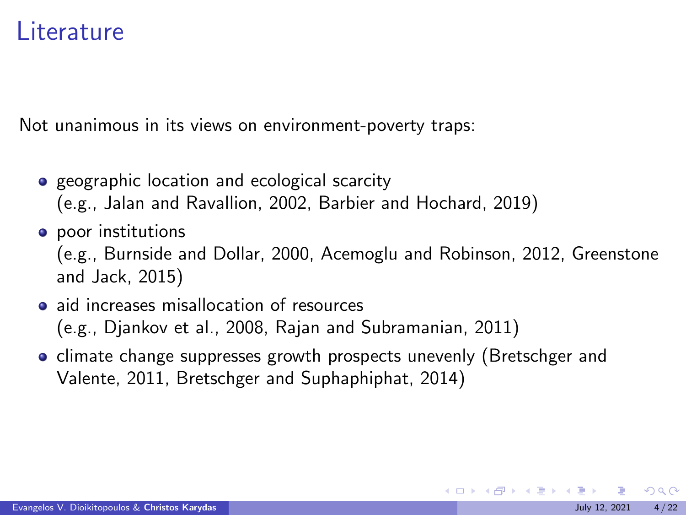### <span id="page-3-0"></span>Literature

Not unanimous in its views on environment-poverty traps:

- **•** geographic location and ecological scarcity (e.g., Jalan and Ravallion, 2002, Barbier and Hochard, 2019)
- **o** poor institutions

(e.g., Burnside and Dollar, 2000, Acemoglu and Robinson, 2012, Greenstone and Jack, 2015)

- aid increases misallocation of resources (e.g., Djankov et al., 2008, Rajan and Subramanian, 2011)
- climate change suppresses growth prospects unevenly (Bretschger and Valente, 2011, Bretschger and Suphaphiphat, 2014)

 $\Omega$ 

イロメ イ部メ イ君メ イ君メー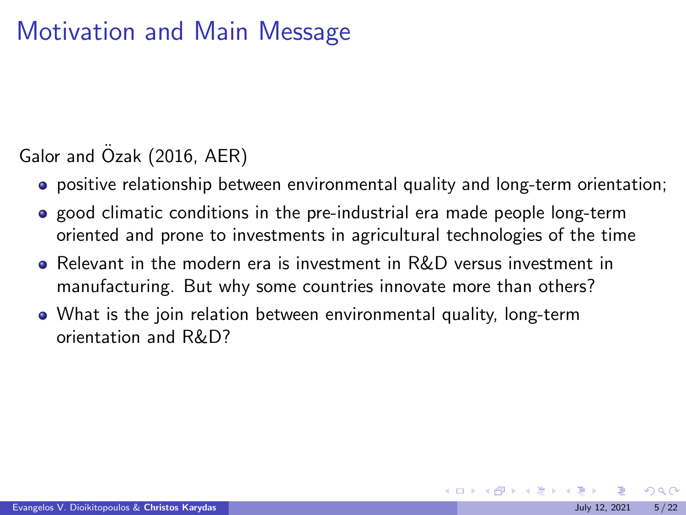# Motivation and Main Message

### Galor and Ozak (2016, AER)

- positive relationship between environmental quality and long-term orientation;
- **•** good climatic conditions in the pre-industrial era made people long-term oriented and prone to investments in agricultural technologies of the time
- Relevant in the modern era is investment in R&D versus investment in manufacturing. But why some countries innovate more than others?
- What is the join relation between environmental quality, long-term orientation and R&D?

 $\Omega$ 

 $4$  ロ }  $4$   $\overline{m}$  }  $4$   $\overline{m}$  }  $4$   $\overline{m}$  }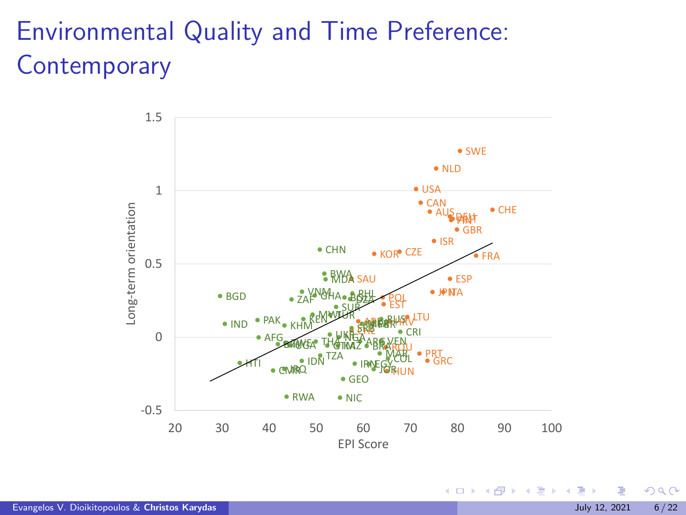# Environmental Quality and Time Preference: **Contemporary**



Evangelos V. Dioikitopoulos & Christos Karydas July 12, 2021 6 / 22

 $290$ 

イロト イ御 トイ ヨ トイ ヨ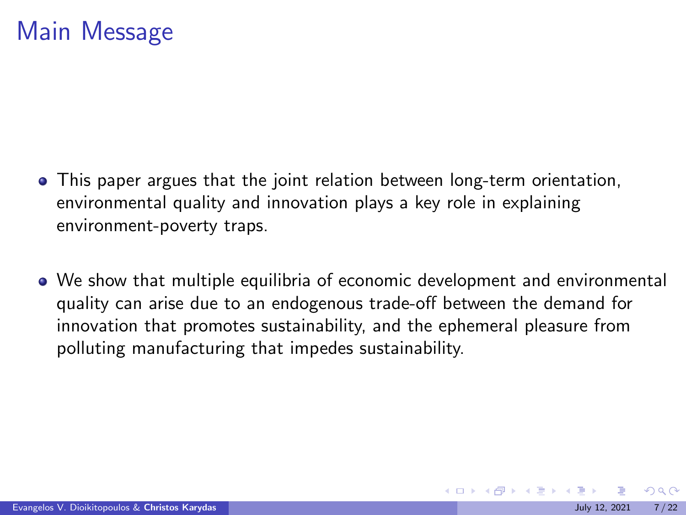### Main Message

- This paper argues that the joint relation between long-term orientation, environmental quality and innovation plays a key role in explaining environment-poverty traps.
- We show that multiple equilibria of economic development and environmental quality can arise due to an endogenous trade-off between the demand for innovation that promotes sustainability, and the ephemeral pleasure from polluting manufacturing that impedes sustainability.

 $\Omega$ 

メロトメ 御 トメ ミトメ ミト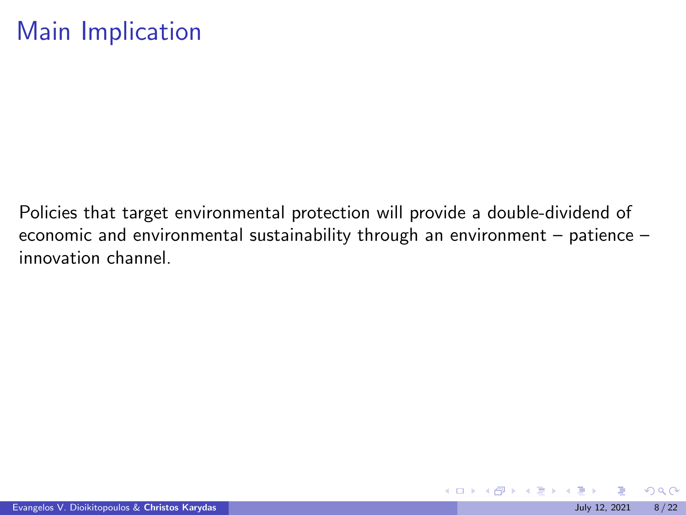## Main Implication

Policies that target environmental protection will provide a double-dividend of economic and environmental sustainability through an environment – patience – innovation channel.

 $\Omega$ 

メロトメ 伊 トメ ミトメ ミト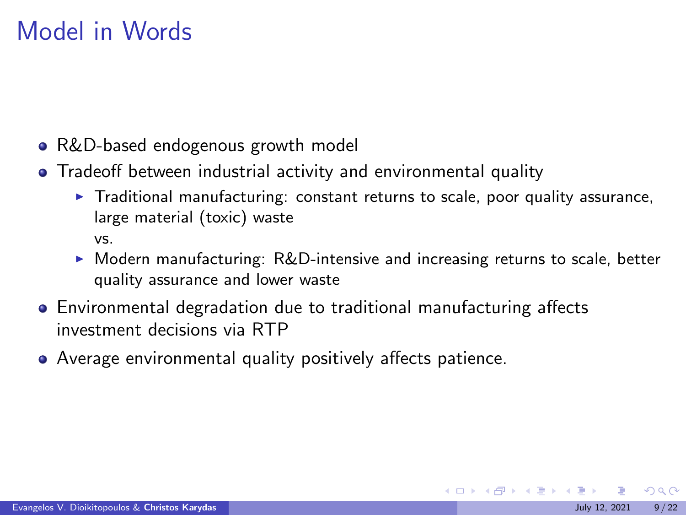# Model in Words

- R&D-based endogenous growth model
- Tradeoff between industrial activity and environmental quality
	- $\triangleright$  Traditional manufacturing: constant returns to scale, poor quality assurance, large material (toxic) waste vs.
	- $\triangleright$  Modern manufacturing: R&D-intensive and increasing returns to scale, better quality assurance and lower waste
- Environmental degradation due to traditional manufacturing affects investment decisions via RTP
- Average environmental quality positively affects patience.

 $\Omega$ 

メロトメ 御 トメ ミトメ ミト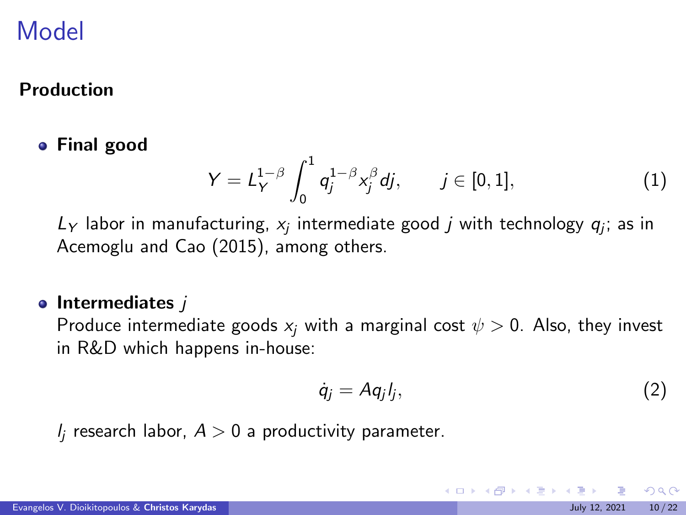#### Production

#### Final good

$$
Y = L_Y^{1-\beta} \int_0^1 q_j^{1-\beta} x_j^{\beta} d j, \qquad j \in [0,1], \tag{1}
$$

 $L_Y$  labor in manufacturing,  $x_j$  intermediate good  $j$  with technology  $q_j$ ; as in Acemoglu and Cao (2015), among others.

#### $\bullet$  Intermediates  $\overline{I}$

Produce intermediate goods  $x_i$  with a marginal cost  $\psi > 0$ . Also, they invest in R&D which happens in-house:

$$
\dot{q}_j = Aq_j l_j, \qquad (2)
$$

イロメ イ部メ イ君メ イ君メー

 $l_i$  research labor,  $A > 0$  a productivity parameter.

 $\Omega$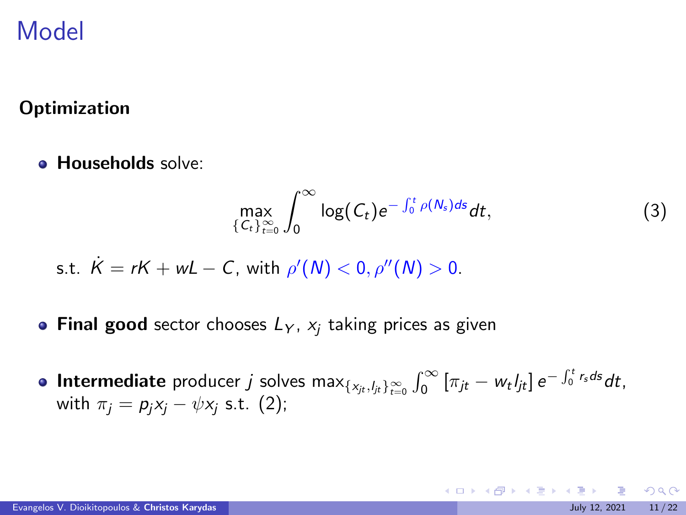### **Optimization**

**• Households solve:** 

$$
\max_{\{C_t\}_{t=0}^{\infty}} \int_0^{\infty} \log(C_t) e^{-\int_0^t \rho(N_s) ds} dt, \tag{3}
$$

s.t. 
$$
K = rK + wL - C
$$
, with  $\rho'(N) < 0$ ,  $\rho''(N) > 0$ .

- Final good sector chooses  $L_Y$ ,  $x_i$  taking prices as given
- **Intermediate** producer *j* solves  $\max_{\{x_{jt}, l_{jt}\}_{t=0}^{\infty}} \int_{0}^{\infty} [\pi_{jt} w_t l_{jt}] e^{-\int_{0}^{t} r_s ds} dt$ , with  $\pi_i = p_i x_i - \psi x_i$  s.t. (2);

 $QQ$ 

K ロ > K 個 > K 경 > K 경 > X 경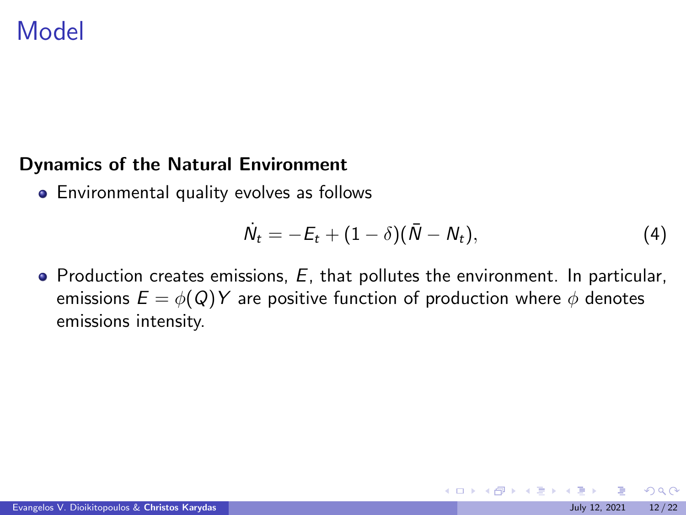#### <span id="page-11-0"></span>Dynamics of the Natural Environment

**•** Environmental quality evolves as follows

$$
\dot{N}_t = -E_t + (1 - \delta)(\bar{N} - N_t), \qquad (4)
$$

 $\bullet$  Production creates emissions,  $E$ , that pollutes the environment. In particular, emissions  $E = \phi(Q)Y$  are positive function of production where  $\phi$  denotes emissions intensity.

 $\Omega$ 

メロトメ 伊 トメ ミトメ ミト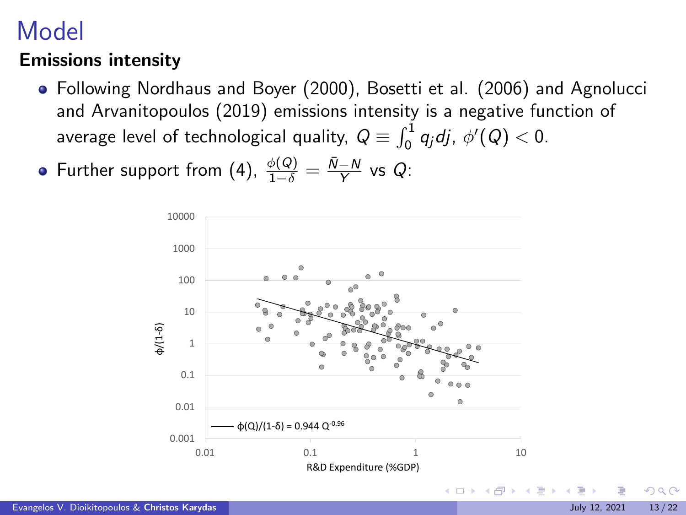### <span id="page-12-0"></span>Emissions intensity

- Following Nordhaus and Boyer (2000), Bosetti et al. (2006) and Agnolucci and Arvanitopoulos (2019) emissions intensity is a negative function of average level of technological quality,  $Q \equiv \int_0^1 q_j dj$ ,  $\phi'(Q) < 0$ .
- Further support from (4),  $\frac{\phi(Q)}{1-\delta} = \frac{\bar{N}-N}{Y}$  vs Q:

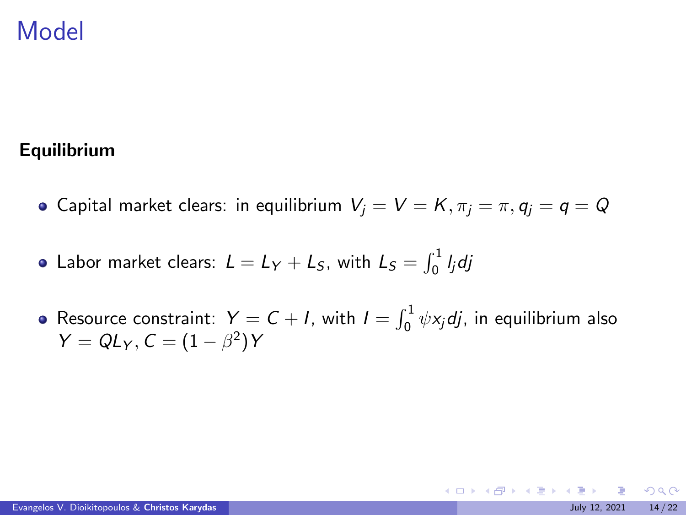#### <span id="page-13-0"></span>Equilibrium

- **•** Capital market clears: in equilibrium  $V_i = V = K$ ,  $\pi_i = \pi$ ,  $q_i = q = Q$
- Labor market clears:  $L = L_Y + L_S$ , with  $L_S = \int_0^1 I_j dj$
- Resource constraint:  $Y = C + I$ , with  $I = \int_0^1 \psi x_j dy$ , in equilibrium also  $Y = QL_Y, C = (1 - \beta^2)Y$

 $\Omega$ 

メロメ メ御 トメ ミメ メ ミメー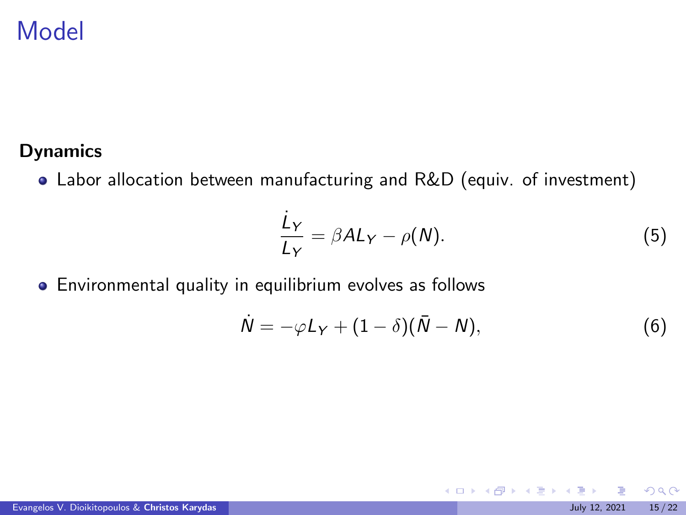#### Dynamics

Labor allocation between manufacturing and R&D (equiv. of investment)

$$
\frac{\dot{L}_Y}{L_Y} = \beta A L_Y - \rho(N). \tag{5}
$$

メロトメ 伊 トメ ミトメ ミト

Environmental quality in equilibrium evolves as follows

$$
\dot{N} = -\varphi L_Y + (1 - \delta)(\bar{N} - N), \qquad (6)
$$

 $299$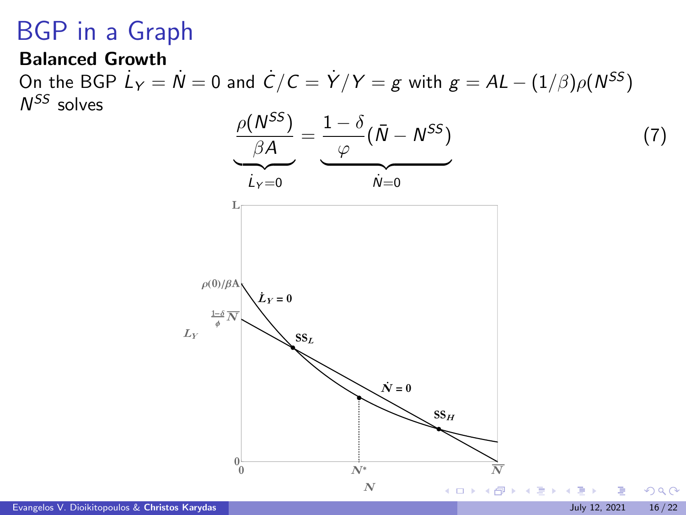# BGP in a Graph

#### Balanced Growth

On the BGP  $\dot{L}_Y = \dot{N} = 0$  and  $\dot{C}/C = \dot{Y}/Y = g$  with  $g = A L - (1/\beta) \rho(N^{SS})$  $N^{SS}$  solves

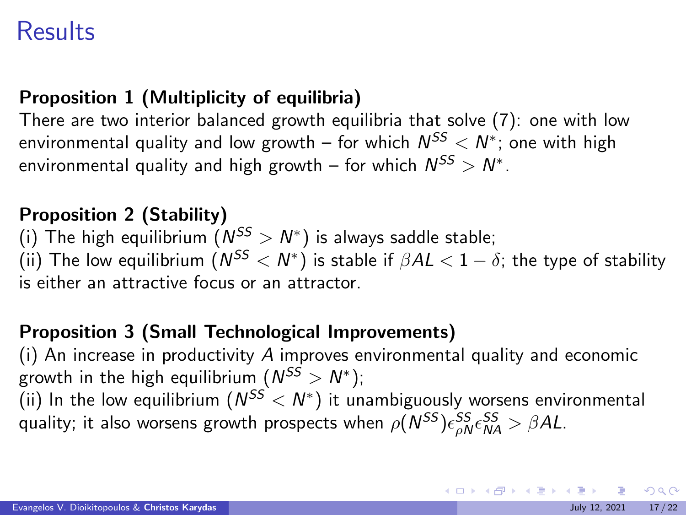# **Results**

### Proposition 1 (Multiplicity of equilibria)

There are two interior balanced growth equilibria that solve (7): one with low environmental quality and low growth – for which  $\mathcal{N}^{SS} < \mathcal{N}^*$ ; one with high environmental quality and high growth – for which  $N^{SS} > N^*$ .

#### Proposition 2 (Stability)

(i) The high equilibrium  $(N^{SS} > N^*)$  is always saddle stable; (ii) The low equilibrium  $(\textit{N}^{\text{SS}}<\textit{N}^*)$  is stable if  $\beta {\text{AL}} < 1-\delta;$  the type of stability is either an attractive focus or an attractor.

### Proposition 3 (Small Technological Improvements)

(i) An increase in productivity  $A$  improves environmental quality and economic growth in the high equilibrium  $(\mathcal{N}^{SS}>\mathcal{N}^{*});$ (ii) In the low equilibrium  $(N^{SS} < N^*)$  it unambiguously worsens environmental quality; it also worsens growth prospects when  $\rho(N^{SS}) \epsilon_{\rho N}^{SS} \epsilon_{\textit{NA}}^{SS} > \beta A L.$ 

 $QQ$ 

イロト 不優 トメ 差 トメ 差 トー 差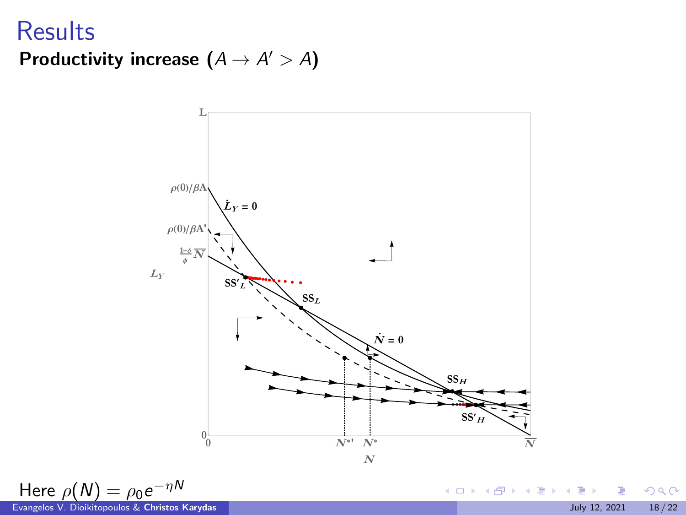### **Results** Productivity increase  $(A \rightarrow A' > A)$



Here  $\rho(N) = \rho_0 e^{-\eta N}$ 

メロメ メタメ メミメ メミメ  $299$ ∍ Evangelos V. Dioikitopoulos & Christos Karydas July 12, 2021 18 / 22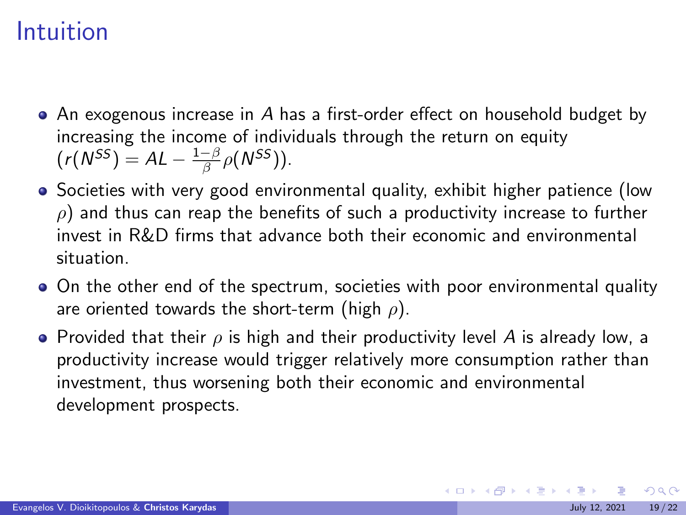### Intuition

- An exogenous increase in A has a first-order effect on household budget by increasing the income of individuals through the return on equity  $(r(N^{SS}) = AL - \frac{1-\beta}{\beta} \rho(N^{SS}))$ .
- Societies with very good environmental quality, exhibit higher patience (low  $\rho$ ) and thus can reap the benefits of such a productivity increase to further invest in R&D firms that advance both their economic and environmental situation.
- On the other end of the spectrum, societies with poor environmental quality are oriented towards the short-term (high  $\rho$ ).
- **•** Provided that their  $\rho$  is high and their productivity level A is already low, a productivity increase would trigger relatively more consumption rather than investment, thus worsening both their economic and environmental development prospects.

 $\Omega$ 

メロメメ 御 メメ きょく ミメー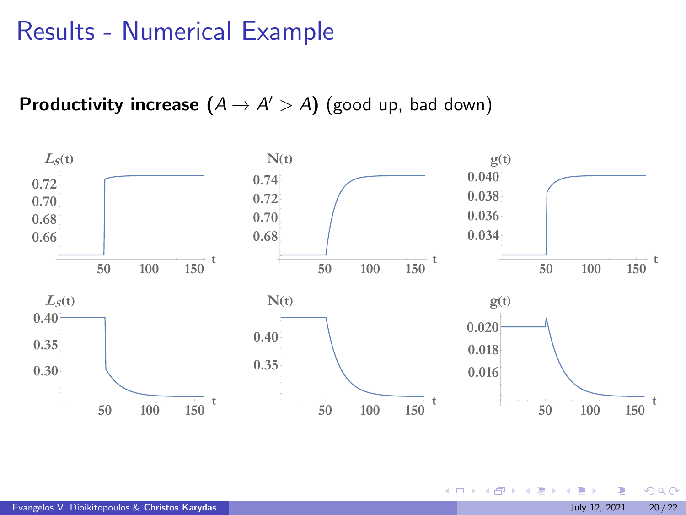### Results - Numerical Example

**Productivity increase**  $(A \rightarrow A' > A)$  (good up, bad down)



 $299$ 

イロト イ御 トイ ヨ トイ ヨ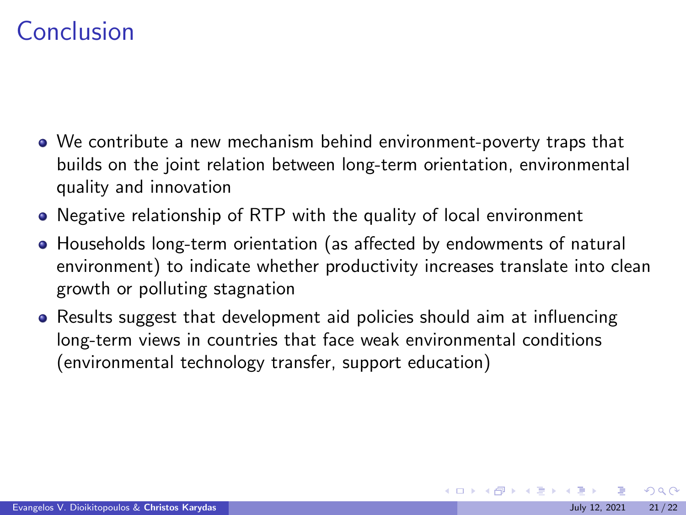# Conclusion

- We contribute a new mechanism behind environment-poverty traps that builds on the joint relation between long-term orientation, environmental quality and innovation
- Negative relationship of RTP with the quality of local environment
- Households long-term orientation (as affected by endowments of natural environment) to indicate whether productivity increases translate into clean growth or polluting stagnation
- Results suggest that development aid policies should aim at influencing long-term views in countries that face weak environmental conditions (environmental technology transfer, support education)

 $\Omega$ 

メロメメ 倒 メメ きょくきょう